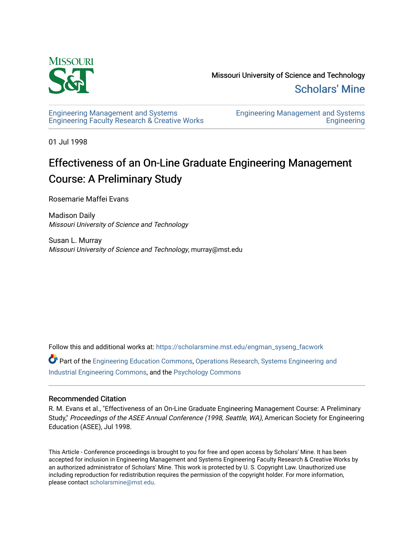

Missouri University of Science and Technology [Scholars' Mine](https://scholarsmine.mst.edu/) 

[Engineering Management and Systems](https://scholarsmine.mst.edu/engman_syseng_facwork)  [Engineering Faculty Research & Creative Works](https://scholarsmine.mst.edu/engman_syseng_facwork) [Engineering Management and Systems](https://scholarsmine.mst.edu/engman_syseng)  **Engineering** 

01 Jul 1998

# Effectiveness of an On-Line Graduate Engineering Management Course: A Preliminary Study

Rosemarie Maffei Evans

Madison Daily Missouri University of Science and Technology

Susan L. Murray Missouri University of Science and Technology, murray@mst.edu

Follow this and additional works at: [https://scholarsmine.mst.edu/engman\\_syseng\\_facwork](https://scholarsmine.mst.edu/engman_syseng_facwork?utm_source=scholarsmine.mst.edu%2Fengman_syseng_facwork%2F287&utm_medium=PDF&utm_campaign=PDFCoverPages) 

Part of the [Engineering Education Commons,](http://network.bepress.com/hgg/discipline/1191?utm_source=scholarsmine.mst.edu%2Fengman_syseng_facwork%2F287&utm_medium=PDF&utm_campaign=PDFCoverPages) [Operations Research, Systems Engineering and](http://network.bepress.com/hgg/discipline/305?utm_source=scholarsmine.mst.edu%2Fengman_syseng_facwork%2F287&utm_medium=PDF&utm_campaign=PDFCoverPages) [Industrial Engineering Commons,](http://network.bepress.com/hgg/discipline/305?utm_source=scholarsmine.mst.edu%2Fengman_syseng_facwork%2F287&utm_medium=PDF&utm_campaign=PDFCoverPages) and the [Psychology Commons](http://network.bepress.com/hgg/discipline/404?utm_source=scholarsmine.mst.edu%2Fengman_syseng_facwork%2F287&utm_medium=PDF&utm_campaign=PDFCoverPages) 

#### Recommended Citation

R. M. Evans et al., "Effectiveness of an On-Line Graduate Engineering Management Course: A Preliminary Study," Proceedings of the ASEE Annual Conference (1998, Seattle, WA), American Society for Engineering Education (ASEE), Jul 1998.

This Article - Conference proceedings is brought to you for free and open access by Scholars' Mine. It has been accepted for inclusion in Engineering Management and Systems Engineering Faculty Research & Creative Works by an authorized administrator of Scholars' Mine. This work is protected by U. S. Copyright Law. Unauthorized use including reproduction for redistribution requires the permission of the copyright holder. For more information, please contact [scholarsmine@mst.edu.](mailto:scholarsmine@mst.edu)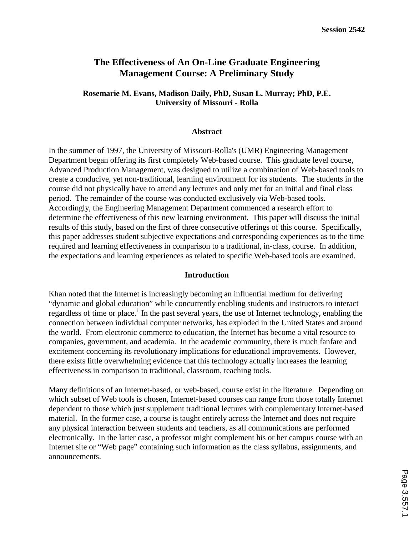## **The Effectiveness of An On-Line Graduate Engineering Management Course: A Preliminary Study**

#### **Rosemarie M. Evans, Madison Daily, PhD, Susan L. Murray; PhD, P.E. University of Missouri - Rolla**

#### **Abstract**

In the summer of 1997, the University of Missouri-Rolla's (UMR) Engineering Management Department began offering its first completely Web-based course. This graduate level course, Advanced Production Management, was designed to utilize a combination of Web-based tools to create a conducive, yet non-traditional, learning environment for its students. The students in the course did not physically have to attend any lectures and only met for an initial and final class period. The remainder of the course was conducted exclusively via Web-based tools. Accordingly, the Engineering Management Department commenced a research effort to determine the effectiveness of this new learning environment. This paper will discuss the initial results of this study, based on the first of three consecutive offerings of this course. Specifically, this paper addresses student subjective expectations and corresponding experiences as to the time required and learning effectiveness in comparison to a traditional, in-class, course. In addition, the expectations and learning experiences as related to specific Web-based tools are examined.

#### **Introduction**

Khan noted that the Internet is increasingly becoming an influential medium for delivering "dynamic and global education" while concurrently enabling students and instructors to interact regardless of time or place.<sup>1</sup> In the past several years, the use of Internet technology, enabling the connection between individual computer networks, has exploded in the United States and around the world. From electronic commerce to education, the Internet has become a vital resource to companies, government, and academia. In the academic community, there is much fanfare and excitement concerning its revolutionary implications for educational improvements. However, there exists little overwhelming evidence that this technology actually increases the learning effectiveness in comparison to traditional, classroom, teaching tools.

Many definitions of an Internet-based, or web-based, course exist in the literature. Depending on which subset of Web tools is chosen, Internet-based courses can range from those totally Internet dependent to those which just supplement traditional lectures with complementary Internet-based material. In the former case, a course is taught entirely across the Internet and does not require any physical interaction between students and teachers, as all communications are performed electronically. In the latter case, a professor might complement his or her campus course with an Internet site or "Web page" containing such information as the class syllabus, assignments, and announcements.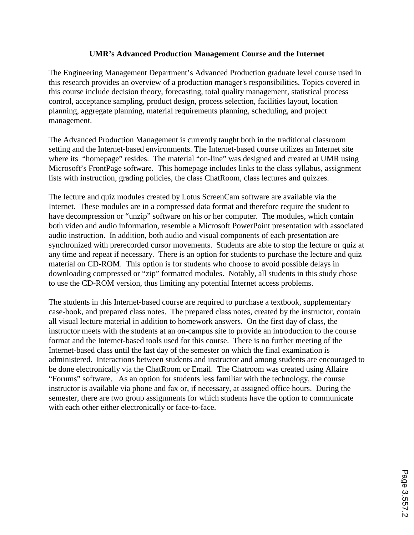### **UMR's Advanced Production Management Course and the Internet**

The Engineering Management Department's Advanced Production graduate level course used in this research provides an overview of a production manager's responsibilities. Topics covered in this course include decision theory, forecasting, total quality management, statistical process control, acceptance sampling, product design, process selection, facilities layout, location planning, aggregate planning, material requirements planning, scheduling, and project management.

The Advanced Production Management is currently taught both in the traditional classroom setting and the Internet-based environments. The Internet-based course utilizes an Internet site where its "homepage" resides. The material "on-line" was designed and created at UMR using Microsoft's FrontPage software. This homepage includes links to the class syllabus, assignment lists with instruction, grading policies, the class ChatRoom, class lectures and quizzes.

The lecture and quiz modules created by Lotus ScreenCam software are available via the Internet. These modules are in a compressed data format and therefore require the student to have decompression or "unzip" software on his or her computer. The modules, which contain both video and audio information, resemble a Microsoft PowerPoint presentation with associated audio instruction. In addition, both audio and visual components of each presentation are synchronized with prerecorded cursor movements. Students are able to stop the lecture or quiz at any time and repeat if necessary. There is an option for students to purchase the lecture and quiz material on CD-ROM. This option is for students who choose to avoid possible delays in downloading compressed or "zip" formatted modules. Notably, all students in this study chose to use the CD-ROM version, thus limiting any potential Internet access problems.

The students in this Internet-based course are required to purchase a textbook, supplementary case-book, and prepared class notes. The prepared class notes, created by the instructor, contain all visual lecture material in addition to homework answers. On the first day of class, the instructor meets with the students at an on-campus site to provide an introduction to the course format and the Internet-based tools used for this course. There is no further meeting of the Internet-based class until the last day of the semester on which the final examination is administered. Interactions between students and instructor and among students are encouraged to be done electronically via the ChatRoom or Email. The Chatroom was created using Allaire "Forums" software. As an option for students less familiar with the technology, the course instructor is available via phone and fax or, if necessary, at assigned office hours. During the semester, there are two group assignments for which students have the option to communicate with each other either electronically or face-to-face.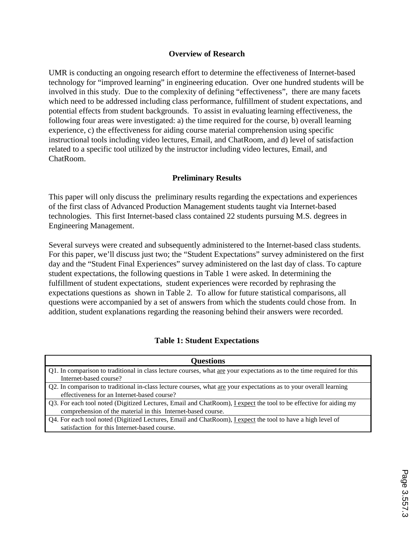#### **Overview of Research**

UMR is conducting an ongoing research effort to determine the effectiveness of Internet-based technology for "improved learning" in engineering education. Over one hundred students will be involved in this study. Due to the complexity of defining "effectiveness", there are many facets which need to be addressed including class performance, fulfillment of student expectations, and potential effects from student backgrounds. To assist in evaluating learning effectiveness, the following four areas were investigated: a) the time required for the course, b) overall learning experience, c) the effectiveness for aiding course material comprehension using specific instructional tools including video lectures, Email, and ChatRoom, and d) level of satisfaction related to a specific tool utilized by the instructor including video lectures, Email, and ChatRoom.

#### **Preliminary Results**

This paper will only discuss the preliminary results regarding the expectations and experiences of the first class of Advanced Production Management students taught via Internet-based technologies. This first Internet-based class contained 22 students pursuing M.S. degrees in Engineering Management.

Several surveys were created and subsequently administered to the Internet-based class students. For this paper, we'll discuss just two; the "Student Expectations" survey administered on the first day and the "Student Final Experiences" survey administered on the last day of class. To capture student expectations, the following questions in Table 1 were asked. In determining the fulfillment of student expectations, student experiences were recorded by rephrasing the expectations questions as shown in Table 2. To allow for future statistical comparisons, all questions were accompanied by a set of answers from which the students could chose from. In addition, student explanations regarding the reasoning behind their answers were recorded.

## **Table 1: Student Expectations**

| <b>Questions</b>                                                                                                       |  |  |  |  |
|------------------------------------------------------------------------------------------------------------------------|--|--|--|--|
| Q1. In comparison to traditional in class lecture courses, what are your expectations as to the time required for this |  |  |  |  |
| Internet-based course?                                                                                                 |  |  |  |  |
| Q2. In comparison to traditional in-class lecture courses, what are your expectations as to your overall learning      |  |  |  |  |
| effectiveness for an Internet-based course?                                                                            |  |  |  |  |
| Q3. For each tool noted (Digitized Lectures, Email and ChatRoom), Lexpect the tool to be effective for aiding my       |  |  |  |  |
| comprehension of the material in this Internet-based course.                                                           |  |  |  |  |
| Q4. For each tool noted (Digitized Lectures, Email and ChatRoom), I expect the tool to have a high level of            |  |  |  |  |
| satisfaction for this Internet-based course.                                                                           |  |  |  |  |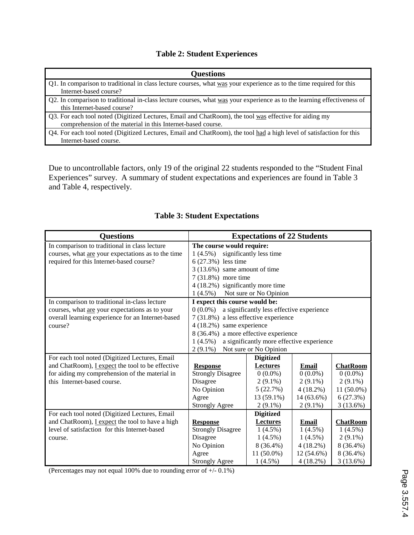## **Table 2: Student Experiences**

| <b>Questions</b>                                                                                                        |  |  |  |  |
|-------------------------------------------------------------------------------------------------------------------------|--|--|--|--|
| Q1. In comparison to traditional in class lecture courses, what was your experience as to the time required for this    |  |  |  |  |
| Internet-based course?                                                                                                  |  |  |  |  |
| Q2. In comparison to traditional in-class lecture courses, what was your experience as to the learning effectiveness of |  |  |  |  |
| this Internet-based course?                                                                                             |  |  |  |  |
| Q3. For each tool noted (Digitized Lectures, Email and ChatRoom), the tool was effective for aiding my                  |  |  |  |  |
| comprehension of the material in this Internet-based course.                                                            |  |  |  |  |
| Q4. For each tool noted (Digitized Lectures, Email and ChatRoom), the tool had a high level of satisfaction for this    |  |  |  |  |
| Internet-based course.                                                                                                  |  |  |  |  |

Due to uncontrollable factors, only 19 of the original 22 students responded to the "Student Final Experiences" survey. A summary of student expectations and experiences are found in Table 3 and Table 4, respectively.

| <b>Questions</b>                                      | <b>Expectations of 22 Students</b>                      |                                           |             |                 |  |
|-------------------------------------------------------|---------------------------------------------------------|-------------------------------------------|-------------|-----------------|--|
| In comparison to traditional in class lecture         | The course would require:                               |                                           |             |                 |  |
| courses, what are your expectations as to the time    | $1(4.5\%)$<br>significantly less time                   |                                           |             |                 |  |
| required for this Internet-based course?              | 6 (27.3%) less time                                     |                                           |             |                 |  |
|                                                       | $3(13.6%)$ same amount of time                          |                                           |             |                 |  |
|                                                       | 7 (31.8%) more time                                     |                                           |             |                 |  |
|                                                       | 4 (18.2%) significantly more time                       |                                           |             |                 |  |
|                                                       | Not sure or No Opinion<br>$1(4.5\%)$                    |                                           |             |                 |  |
| In comparison to traditional in-class lecture         | I expect this course would be:                          |                                           |             |                 |  |
| courses, what are your expectations as to your        | $0(0.0\%)$<br>a significantly less effective experience |                                           |             |                 |  |
| overall learning experience for an Internet-based     | 7 (31.8%) a less effective experience                   |                                           |             |                 |  |
| course?                                               | 4 (18.2%) same experience                               |                                           |             |                 |  |
|                                                       | 8 (36.4%) a more effective experience                   |                                           |             |                 |  |
|                                                       | $1(4.5\%)$                                              | a significantly more effective experience |             |                 |  |
|                                                       | Not sure or No Opinion<br>$2(9.1\%)$                    |                                           |             |                 |  |
| For each tool noted (Digitized Lectures, Email        |                                                         | <b>Digitized</b>                          |             |                 |  |
| and ChatRoom), I expect the tool to be effective      | <b>Response</b>                                         | <b>Lectures</b>                           | Email       | <b>ChatRoom</b> |  |
| for aiding my comprehension of the material in        | <b>Strongly Disagree</b>                                | $0(0.0\%)$                                | $0(0.0\%)$  | $0(0.0\%)$      |  |
| this Internet-based course.                           | Disagree                                                | $2(9.1\%)$                                | $2(9.1\%)$  | $2(9.1\%)$      |  |
|                                                       | No Opinion                                              | 5(22.7%)                                  | 4(18.2%)    | 11 (50.0%)      |  |
|                                                       | Agree                                                   | 13 (59.1%)                                | 14 (63.6%)  | 6(27.3%)        |  |
|                                                       | <b>Strongly Agree</b>                                   | $2(9.1\%)$                                | $2(9.1\%)$  | 3(13.6%)        |  |
| For each tool noted (Digitized Lectures, Email        |                                                         | <b>Digitized</b>                          |             |                 |  |
| and ChatRoom), <i>Lexpect</i> the tool to have a high | <b>Response</b>                                         | <b>Lectures</b>                           | Email       | <b>ChatRoom</b> |  |
| level of satisfaction for this Internet-based         | <b>Strongly Disagree</b>                                | $1(4.5\%)$                                | $1(4.5\%)$  | $1(4.5\%)$      |  |
| course.                                               | Disagree                                                | $1(4.5\%)$                                | $1(4.5\%)$  | $2(9.1\%)$      |  |
|                                                       | No Opinion                                              | 8 (36.4%)                                 | 4(18.2%)    | 8 (36.4%)       |  |
|                                                       | Agree                                                   | 11 (50.0%)                                | 12 (54.6%)  | $8(36.4\%)$     |  |
|                                                       | <b>Strongly Agree</b>                                   | $1(4.5\%)$                                | $4(18.2\%)$ | 3(13.6%)        |  |

### **Table 3: Student Expectations**

(Percentages may not equal 100% due to rounding error of +/- 0.1%)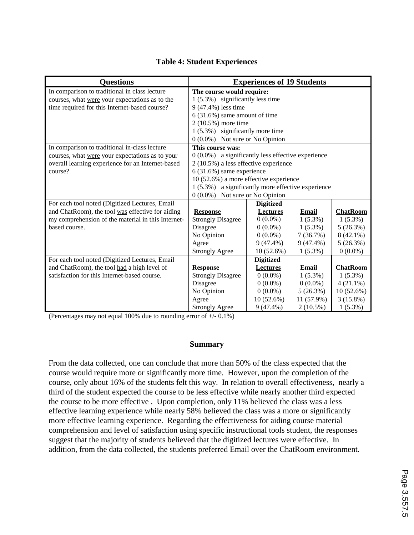| <b>Questions</b>                                   | <b>Experiences of 19 Students</b>                   |                  |              |                 |  |
|----------------------------------------------------|-----------------------------------------------------|------------------|--------------|-----------------|--|
| In comparison to traditional in class lecture      | The course would require:                           |                  |              |                 |  |
| courses, what were your expectations as to the     | 1 (5.3%) significantly less time                    |                  |              |                 |  |
| time required for this Internet-based course?      | 9 (47.4%) less time                                 |                  |              |                 |  |
|                                                    | $6(31.6%)$ same amount of time                      |                  |              |                 |  |
|                                                    | 2 (10.5%) more time                                 |                  |              |                 |  |
|                                                    | 1 (5.3%) significantly more time                    |                  |              |                 |  |
|                                                    | 0 (0.0%) Not sure or No Opinion                     |                  |              |                 |  |
| In comparison to traditional in-class lecture      | This course was:                                    |                  |              |                 |  |
| courses, what were your expectations as to your    | $0(0.0%)$ a significantly less effective experience |                  |              |                 |  |
| overall learning experience for an Internet-based  | 2 (10.5%) a less effective experience               |                  |              |                 |  |
| course?                                            | $6(31.6%)$ same experience                          |                  |              |                 |  |
|                                                    | 10 (52.6%) a more effective experience              |                  |              |                 |  |
|                                                    | 1 (5.3%) a significantly more effective experience  |                  |              |                 |  |
|                                                    | 0 (0.0%) Not sure or No Opinion                     |                  |              |                 |  |
| For each tool noted (Digitized Lectures, Email     |                                                     | <b>Digitized</b> |              |                 |  |
| and ChatRoom), the tool was effective for aiding   | <b>Response</b>                                     | <b>Lectures</b>  | Email        | <b>ChatRoom</b> |  |
| my comprehension of the material in this Internet- | <b>Strongly Disagree</b>                            | $0(0.0\%)$       | $1(5.3\%)$   | $1(5.3\%)$      |  |
| based course.                                      | Disagree                                            | $0(0.0\%)$       | $1(5.3\%)$   | 5(26.3%)        |  |
|                                                    | No Opinion                                          | $0(0.0\%)$       | 7(36.7%)     | $8(42.1\%)$     |  |
|                                                    | Agree                                               | $9(47.4\%)$      | $9(47.4\%)$  | 5(26.3%)        |  |
|                                                    | <b>Strongly Agree</b>                               | 10 (52.6%)       | $1(5.3\%)$   | $0(0.0\%)$      |  |
| For each tool noted (Digitized Lectures, Email     |                                                     | <b>Digitized</b> |              |                 |  |
| and ChatRoom), the tool had a high level of        | <b>Response</b>                                     | <b>Lectures</b>  | <b>Email</b> | <b>ChatRoom</b> |  |
| satisfaction for this Internet-based course.       | <b>Strongly Disagree</b>                            | $0(0.0\%)$       | $1(5.3\%)$   | $1(5.3\%)$      |  |
|                                                    | Disagree                                            | $0(0.0\%)$       | $0(0.0\%)$   | $4(21.1\%)$     |  |
|                                                    | No Opinion                                          | $0(0.0\%)$       | 5(26.3%)     | $10(52.6\%)$    |  |
|                                                    | Agree                                               | 10(52.6%)        | 11 (57.9%)   | 3(15.8%)        |  |
|                                                    | <b>Strongly Agree</b>                               | $9(47.4\%)$      | $2(10.5\%)$  | $1(5.3\%)$      |  |

#### **Table 4: Student Experiences**

(Percentages may not equal 100% due to rounding error of +/- 0.1%)

#### **Summary**

From the data collected, one can conclude that more than 50% of the class expected that the course would require more or significantly more time. However, upon the completion of the course, only about 16% of the students felt this way. In relation to overall effectiveness, nearly a third of the student expected the course to be less effective while nearly another third expected the course to be more effective . Upon completion, only 11% believed the class was a less effective learning experience while nearly 58% believed the class was a more or significantly more effective learning experience. Regarding the effectiveness for aiding course material comprehension and level of satisfaction using specific instructional tools student, the responses suggest that the majority of students believed that the digitized lectures were effective. In addition, from the data collected, the students preferred Email over the ChatRoom environment.